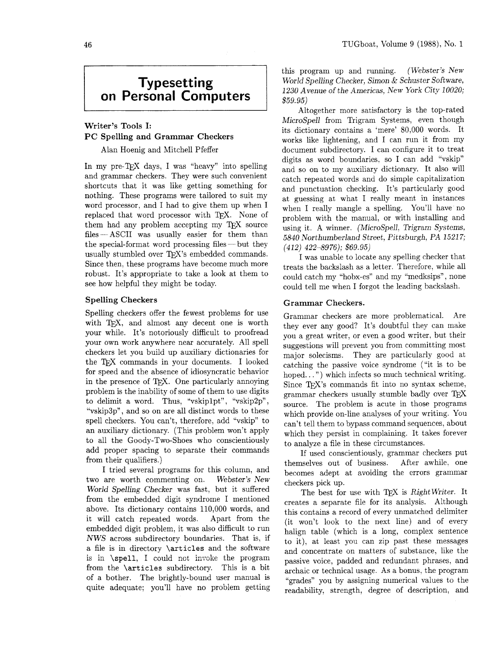# **Typesetting on Personal Computers**

### **Writer's Tools I: PC Spelling and Grammar Checkers**

Alan Hoenig and Mitchell Pfeffer

In my pre- $TFX$  days, I was "heavy" into spelling and grammar checkers. They were such convenient shortcuts that it was like getting something for nothing. These programs were tailored to suit my word processor, and I had to give them up when I replaced that word processor with TFX. None of them had any problem accepting my T<sub>EX</sub> source them had any problem accepting my TEX source<br>files—ASCII was usually easier for them than<br>the special-format word processing files—but they usually stumbled over TFX's embedded commands. Since then, these programs have become much more robust. It's appropriate to take a look at them to see how helpful they might be today.

#### **Spelling Checkers**

Spelling checkers offer the fewest problems for use with TFX, and almost any decent one is worth your while. It's notoriously difficult to proofread your own work anywhere near accurately. All spell checkers let you build up auxiliary dictionaries for the TFX commands in your documents. I looked for speed and the absence of idiosyncratic behavior in the presence of T<sub>F</sub>X. One particularly annoying problem is the inability of some of them to use digits to delimit a word. Thus, "vskip1pt", "vskip2p", "vskip3p", and so on are all distinct words to these spell checkers. You can't, therefore, add "vskip" to an auxiliary dictionary. (This problem won't apply to all the Goody-Two-Shoes who conscientiously add proper spacing to separate their commands from their qualifiers.)

I tried several programs for this column, and two are worth commenting on. Webster's New World Spelling Checker was fast, but it suffered from the embedded digit syndrome I mentioned above. Its dictionary contains 110,000 words, and it will catch repeated words. Apart from the embedded digit problem, it was also difficult to run NWS across subdirectory boundaries. That is, if a file is in directory \articles and the software is in  $\spadesuit$  \spell, I could not invoke the program from the \articles subdirectory. This is a bit of a bother. The brightly-bound user manual is quite adequate; you'll have no problem getting this program up and running. (Webster's New World Spelling Checker, Simon & Schuster Software, 1230 Avenue of the Americas, New York City 10020; \$59.95)

Altogether more satisfactory is the top-rated MicroSpell from Trigram Systems, even though its dictionary contains a 'mere' 80,000 words. It works like lightening, and I can run it from my document subdirectory. I can configure it to treat digits as word boundaries, so I can add "vskip" and so on to my auxiliary dictionary. It also will catch repeated words and do simple capitalization and punctuation checking. It's particularly good at guessing at what I really meant in instances when I really mangle a spelling. You'll have no problem with the manual, or with installing and using it. A winner. (MicroSpell, Trigram Systems, 5840 Northumberland Street, Pittsburgh, PA 15217; (412) 422-8976); \$69.95)

1 was unable to locate any spelling checker that treats the backslash as a letter. Therefore, while all could catch my "hobx-es" and my "medksips" , none could tell me when I forgot the leading backslash.

#### **Grammar Checkers.**

Grammar checkers are more problematical. Are they ever any good? It's doubtful they can make you a great writer, or even a good writer, but their suggestions will prevent you from committing most major solecisms. They are particularly good at catching the passive voice syndrome ("it is to be hoped...") which infects so much technical writing. Since T<sub>F</sub>X's commands fit into no syntax scheme, grammar checkers usually stumble badly over source. The problem is acute in those programs which provide on-line analyses of your writing. You can't tell them to bypass command sequences, about which they persist in complaining. It takes forever to analyze a file in these circumstances.

If used conscientiously, grammar checkers put themselves out of business. After awhile. one becomes adept at avoiding the errors grammar checkers pick up.

The best for use with TFX is RightWriter. It creates a separate file for its analysis. Although this contains a record of every unmatched delimiter (it won't look to the next line) and of every halign table (which is a long, complex sentence to it), at least you can zip past these messages and concentrate on matters of substance, like the passive voice, padded and redundant phrases, and archaic or technical usage. As a bonus, the program "grades" you by assigning numerical values to the readability, strength, degree of description, and